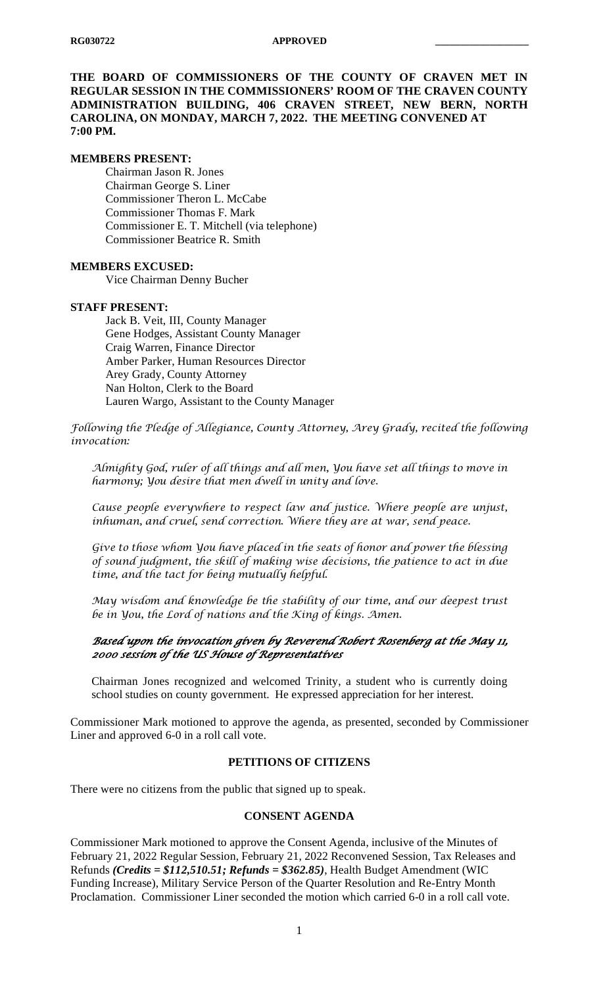**THE BOARD OF COMMISSIONERS OF THE COUNTY OF CRAVEN MET IN REGULAR SESSION IN THE COMMISSIONERS' ROOM OF THE CRAVEN COUNTY ADMINISTRATION BUILDING, 406 CRAVEN STREET, NEW BERN, NORTH CAROLINA, ON MONDAY, MARCH 7, 2022. THE MEETING CONVENED AT 7:00 PM.**

#### **MEMBERS PRESENT:**

Chairman Jason R. Jones Chairman George S. Liner Commissioner Theron L. McCabe Commissioner Thomas F. Mark Commissioner E. T. Mitchell (via telephone) Commissioner Beatrice R. Smith

#### **MEMBERS EXCUSED:**

Vice Chairman Denny Bucher

#### **STAFF PRESENT:**

Jack B. Veit, III, County Manager Gene Hodges, Assistant County Manager Craig Warren, Finance Director Amber Parker, Human Resources Director Arey Grady, County Attorney Nan Holton, Clerk to the Board Lauren Wargo, Assistant to the County Manager

*Following the Pledge of Allegiance, County Attorney, Arey Grady, recited the following invocation:*

*Almighty God, ruler of all things and all men, You have set all things to move in harmony; You desire that men dwell in unity and love.*

*Cause people everywhere to respect law and justice. Where people are unjust, inhuman, and cruel, send correction. Where they are at war, send peace.*

*Give to those whom You have placed in the seats of honor and power the blessing of sound judgment, the skill of making wise decisions, the patience to act in due time, and the tact for being mutually helpful.*

*May wisdom and knowledge be the stability of our time, and our deepest trust be in You, the Lord of nations and the King of kings. Amen.*

#### *Based upon the invocation given by Reverend Robert Rosenberg at the May 11, 2000 session of the US House of Representatives*

Chairman Jones recognized and welcomed Trinity, a student who is currently doing school studies on county government. He expressed appreciation for her interest.

Commissioner Mark motioned to approve the agenda, as presented, seconded by Commissioner Liner and approved 6-0 in a roll call vote.

#### **PETITIONS OF CITIZENS**

There were no citizens from the public that signed up to speak.

#### **CONSENT AGENDA**

Commissioner Mark motioned to approve the Consent Agenda, inclusive of the Minutes of February 21, 2022 Regular Session, February 21, 2022 Reconvened Session, Tax Releases and Refunds *(Credits = \$112,510.51; Refunds = \$362.85)*, Health Budget Amendment (WIC Funding Increase), Military Service Person of the Quarter Resolution and Re-Entry Month Proclamation. Commissioner Liner seconded the motion which carried 6-0 in a roll call vote.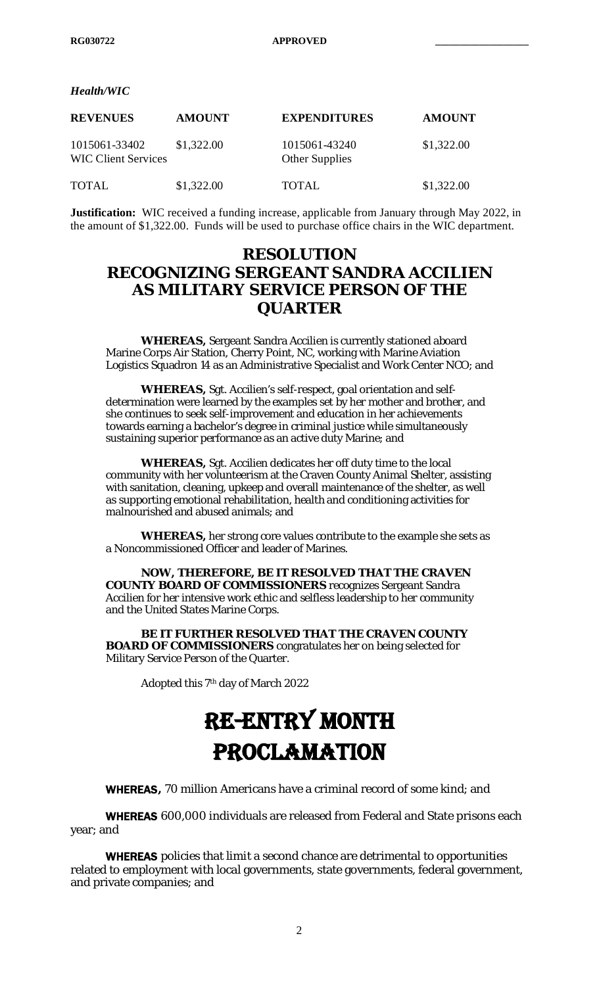*Health/WIC*

| <b>REVENUES</b>                             | <b>AMOUNT</b> | <b>EXPENDITURES</b>             | <b>AMOUNT</b> |
|---------------------------------------------|---------------|---------------------------------|---------------|
| 1015061-33402<br><b>WIC Client Services</b> | \$1,322.00    | 1015061-43240<br>Other Supplies | \$1,322.00    |
| <b>TOTAL</b>                                | \$1,322.00    | <b>TOTAL</b>                    | \$1,322.00    |

**Justification:** WIC received a funding increase, applicable from January through May 2022, in the amount of \$1,322.00. Funds will be used to purchase office chairs in the WIC department.

# **RESOLUTION RECOGNIZING SERGEANT SANDRA ACCILIEN AS MILITARY SERVICE PERSON OF THE QUARTER**

**WHEREAS,** Sergeant Sandra Accilien is currently stationed aboard Marine Corps Air Station, Cherry Point, NC, working with Marine Aviation Logistics Squadron 14 as an Administrative Specialist and Work Center NCO; and

**WHEREAS,** Sgt. Accilien's self-respect, goal orientation and selfdetermination were learned by the examples set by her mother and brother, and she continues to seek self-improvement and education in her achievements towards earning a bachelor's degree in criminal justice while simultaneously sustaining superior performance as an active duty Marine; and

**WHEREAS,** Sgt. Accilien dedicates her off duty time to the local community with her volunteerism at the Craven County Animal Shelter, assisting with sanitation, cleaning, upkeep and overall maintenance of the shelter, as well as supporting emotional rehabilitation, health and conditioning activities for malnourished and abused animals; and

**WHEREAS,** her strong core values contribute to the example she sets as a Noncommissioned Officer and leader of Marines.

**NOW, THEREFORE, BE IT RESOLVED THAT THE CRAVEN COUNTY BOARD OF COMMISSIONERS** recognizes Sergeant Sandra Accilien for her intensive work ethic and selfless leadership to her community and the United States Marine Corps.

**BE IT FURTHER RESOLVED THAT THE CRAVEN COUNTY BOARD OF COMMISSIONERS** congratulates her on being selected for Military Service Person of the Quarter.

Adopted this 7th day of March 2022

# RE-ENTRY MONTH PROCLAMATION

WHEREAS**,** 70 million Americans have a criminal record of some kind; and

WHEREAS 600,000 individuals are released from Federal and State prisons each year; and

WHEREAS policies that limit a second chance are detrimental to opportunities related to employment with local governments, state governments, federal government, and private companies; and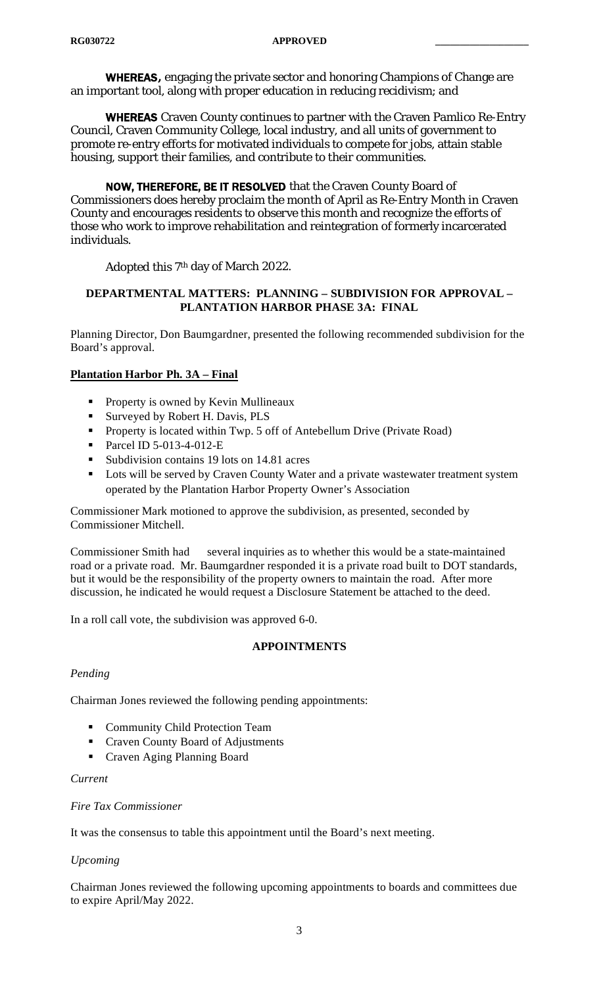WHEREAS**,** engaging the private sector and honoring Champions of Change are an important tool, along with proper education in reducing recidivism; and

WHEREAS Craven County continues to partner with the Craven Pamlico Re-Entry Council, Craven Community College, local industry, and all units of government to promote re-entry efforts for motivated individuals to compete for jobs, attain stable housing, support their families, and contribute to their communities.

NOW, THEREFORE, BE IT RESOLVED that the Craven County Board of Commissioners does hereby proclaim the month of April as Re-Entry Month in Craven County and encourages residents to observe this month and recognize the efforts of those who work to improve rehabilitation and reintegration of formerly incarcerated individuals.

Adopted this 7th day of March 2022.

### **DEPARTMENTAL MATTERS: PLANNING – SUBDIVISION FOR APPROVAL – PLANTATION HARBOR PHASE 3A: FINAL**

Planning Director, Don Baumgardner, presented the following recommended subdivision for the Board's approval.

# **Plantation Harbor Ph. 3A – Final**

- **Property is owned by Kevin Mullineaux**
- Surveyed by Robert H. Davis, PLS
- **Property is located within Twp. 5 off of Antebellum Drive (Private Road)**
- Parcel ID 5-013-4-012-E
- Subdivision contains 19 lots on 14.81 acres
- **Lots will be served by Craven County Water and a private wastewater treatment system** operated by the Plantation Harbor Property Owner's Association

Commissioner Mark motioned to approve the subdivision, as presented, seconded by Commissioner Mitchell.

Commissioner Smith had several inquiries as to whether this would be a state-maintained road or a private road. Mr. Baumgardner responded it is a private road built to DOT standards, but it would be the responsibility of the property owners to maintain the road. After more discussion, he indicated he would request a Disclosure Statement be attached to the deed.

In a roll call vote, the subdivision was approved 6-0.

# **APPOINTMENTS**

#### *Pending*

Chairman Jones reviewed the following pending appointments:

- **Community Child Protection Team**
- Craven County Board of Adjustments
- Craven Aging Planning Board

#### *Current*

#### *Fire Tax Commissioner*

It was the consensus to table this appointment until the Board's next meeting.

#### *Upcoming*

Chairman Jones reviewed the following upcoming appointments to boards and committees due to expire April/May 2022.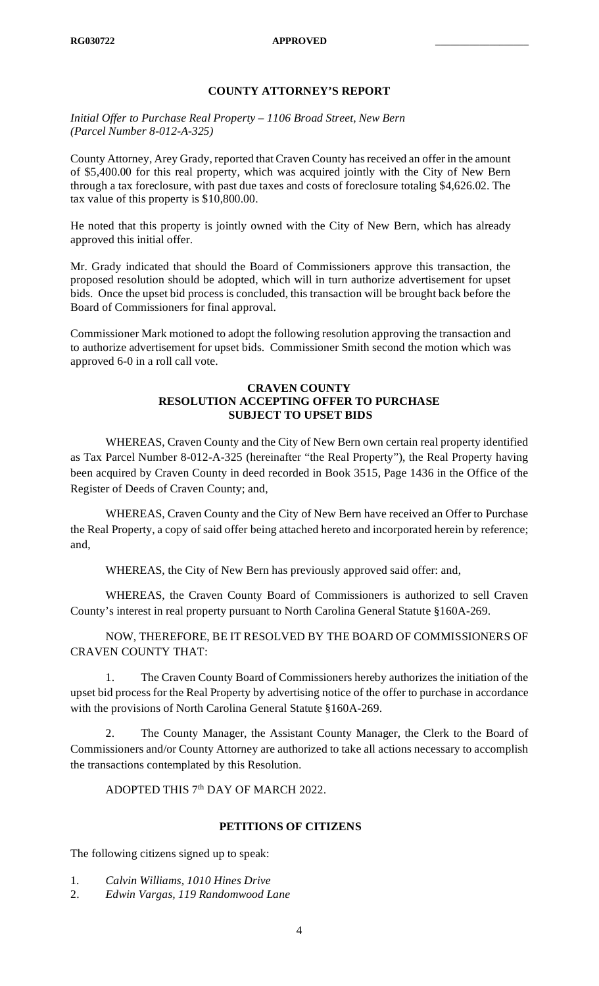# **COUNTY ATTORNEY'S REPORT**

*Initial Offer to Purchase Real Property – 1106 Broad Street, New Bern (Parcel Number 8-012-A-325)*

County Attorney, Arey Grady, reported that Craven County has received an offer in the amount of \$5,400.00 for this real property, which was acquired jointly with the City of New Bern through a tax foreclosure, with past due taxes and costs of foreclosure totaling \$4,626.02. The tax value of this property is \$10,800.00.

He noted that this property is jointly owned with the City of New Bern, which has already approved this initial offer.

Mr. Grady indicated that should the Board of Commissioners approve this transaction, the proposed resolution should be adopted, which will in turn authorize advertisement for upset bids. Once the upset bid process is concluded, this transaction will be brought back before the Board of Commissioners for final approval.

Commissioner Mark motioned to adopt the following resolution approving the transaction and to authorize advertisement for upset bids. Commissioner Smith second the motion which was approved 6-0 in a roll call vote.

#### **CRAVEN COUNTY RESOLUTION ACCEPTING OFFER TO PURCHASE SUBJECT TO UPSET BIDS**

WHEREAS, Craven County and the City of New Bern own certain real property identified as Tax Parcel Number 8-012-A-325 (hereinafter "the Real Property"), the Real Property having been acquired by Craven County in deed recorded in Book 3515, Page 1436 in the Office of the Register of Deeds of Craven County; and,

WHEREAS, Craven County and the City of New Bern have received an Offer to Purchase the Real Property, a copy of said offer being attached hereto and incorporated herein by reference; and,

WHEREAS, the City of New Bern has previously approved said offer: and,

WHEREAS, the Craven County Board of Commissioners is authorized to sell Craven County's interest in real property pursuant to North Carolina General Statute §160A-269.

NOW, THEREFORE, BE IT RESOLVED BY THE BOARD OF COMMISSIONERS OF CRAVEN COUNTY THAT:

1. The Craven County Board of Commissioners hereby authorizes the initiation of the upset bid process for the Real Property by advertising notice of the offer to purchase in accordance with the provisions of North Carolina General Statute §160A-269.

2. The County Manager, the Assistant County Manager, the Clerk to the Board of Commissioners and/or County Attorney are authorized to take all actions necessary to accomplish the transactions contemplated by this Resolution.

ADOPTED THIS  $7<sup>th</sup>$  DAY OF MARCH 2022.

# **PETITIONS OF CITIZENS**

The following citizens signed up to speak:

- 1. *Calvin Williams, 1010 Hines Drive*
- 2. *Edwin Vargas, 119 Randomwood Lane*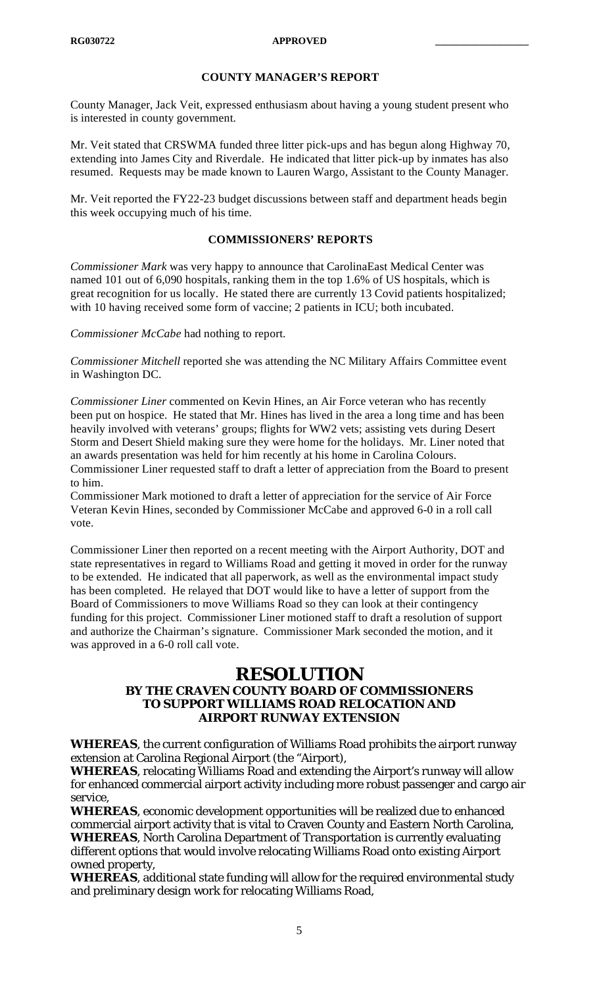# **COUNTY MANAGER'S REPORT**

County Manager, Jack Veit, expressed enthusiasm about having a young student present who is interested in county government.

Mr. Veit stated that CRSWMA funded three litter pick-ups and has begun along Highway 70, extending into James City and Riverdale. He indicated that litter pick-up by inmates has also resumed. Requests may be made known to Lauren Wargo, Assistant to the County Manager.

Mr. Veit reported the FY22-23 budget discussions between staff and department heads begin this week occupying much of his time.

#### **COMMISSIONERS' REPORTS**

*Commissioner Mark* was very happy to announce that CarolinaEast Medical Center was named 101 out of 6,090 hospitals, ranking them in the top 1.6% of US hospitals, which is great recognition for us locally. He stated there are currently 13 Covid patients hospitalized; with 10 having received some form of vaccine; 2 patients in ICU; both incubated.

*Commissioner McCabe* had nothing to report.

*Commissioner Mitchell* reported she was attending the NC Military Affairs Committee event in Washington DC.

*Commissioner Liner* commented on Kevin Hines, an Air Force veteran who has recently been put on hospice. He stated that Mr. Hines has lived in the area a long time and has been heavily involved with veterans' groups; flights for WW2 vets; assisting vets during Desert Storm and Desert Shield making sure they were home for the holidays. Mr. Liner noted that an awards presentation was held for him recently at his home in Carolina Colours. Commissioner Liner requested staff to draft a letter of appreciation from the Board to present to him.

Commissioner Mark motioned to draft a letter of appreciation for the service of Air Force Veteran Kevin Hines, seconded by Commissioner McCabe and approved 6-0 in a roll call vote.

Commissioner Liner then reported on a recent meeting with the Airport Authority, DOT and state representatives in regard to Williams Road and getting it moved in order for the runway to be extended. He indicated that all paperwork, as well as the environmental impact study has been completed. He relayed that DOT would like to have a letter of support from the Board of Commissioners to move Williams Road so they can look at their contingency funding for this project. Commissioner Liner motioned staff to draft a resolution of support and authorize the Chairman's signature. Commissioner Mark seconded the motion, and it was approved in a 6-0 roll call vote.

# **RESOLUTION**

## **BY THE CRAVEN COUNTY BOARD OF COMMISSIONERS TO SUPPORT WILLIAMS ROAD RELOCATION AND AIRPORT RUNWAY EXTENSION**

**WHEREAS**, the current configuration of Williams Road prohibits the airport runway extension at Carolina Regional Airport (the "Airport),

**WHEREAS**, relocating Williams Road and extending the Airport's runway will allow for enhanced commercial airport activity including more robust passenger and cargo air service,

**WHEREAS**, economic development opportunities will be realized due to enhanced commercial airport activity that is vital to Craven County and Eastern North Carolina, **WHEREAS**, North Carolina Department of Transportation is currently evaluating different options that would involve relocating Williams Road onto existing Airport owned property,

**WHEREAS**, additional state funding will allow for the required environmental study and preliminary design work for relocating Williams Road,